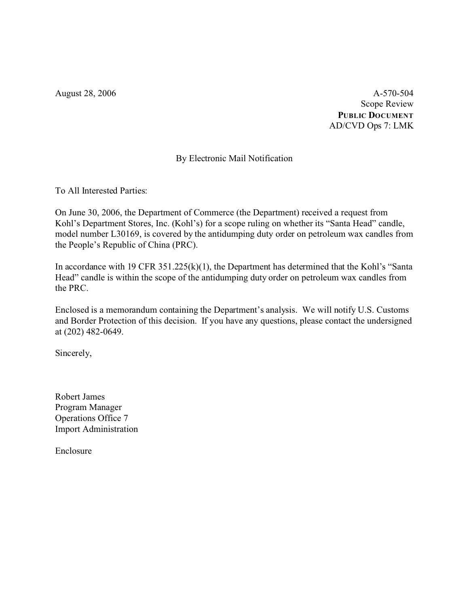August 28, 2006 A-570-504 Scope Review **PUBLIC DOCUMENT** AD/CVD Ops 7: LMK

# By Electronic Mail Notification

To All Interested Parties:

On June 30, 2006, the Department of Commerce (the Department) received a request from Kohl's Department Stores, Inc. (Kohl's) for a scope ruling on whether its "Santa Head" candle, model number L30169, is covered by the antidumping duty order on petroleum wax candles from the People's Republic of China (PRC).

In accordance with 19 CFR 351.225(k)(1), the Department has determined that the Kohl's "Santa Head" candle is within the scope of the antidumping duty order on petroleum wax candles from the PRC.

Enclosed is a memorandum containing the Department's analysis. We will notify U.S. Customs and Border Protection of this decision. If you have any questions, please contact the undersigned at (202) 482-0649.

Sincerely,

Robert James Program Manager Operations Office 7 Import Administration

Enclosure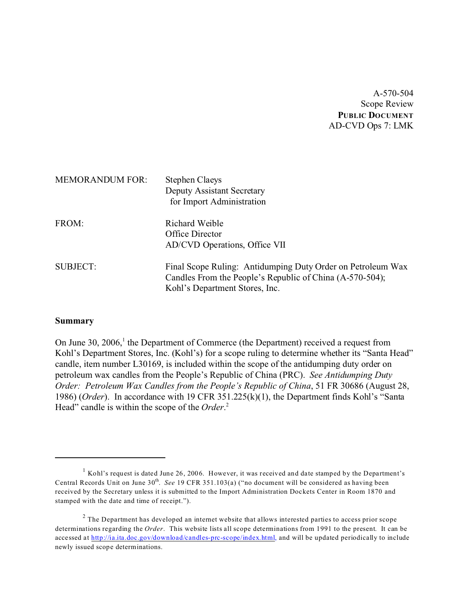A-570-504 Scope Review **PUBLIC DOCUMENT** AD-CVD Ops 7: LMK

| <b>MEMORANDUM FOR:</b> | <b>Stephen Claeys</b><br>Deputy Assistant Secretary<br>for Import Administration                                                                          |
|------------------------|-----------------------------------------------------------------------------------------------------------------------------------------------------------|
| FROM:                  | Richard Weible<br>Office Director<br>AD/CVD Operations, Office VII                                                                                        |
| <b>SUBJECT:</b>        | Final Scope Ruling: Antidumping Duty Order on Petroleum Wax<br>Candles From the People's Republic of China (A-570-504);<br>Kohl's Department Stores, Inc. |

#### **Summary**

On June 30, 2006,<sup>1</sup> the Department of Commerce (the Department) received a request from Kohl's Department Stores, Inc. (Kohl's) for a scope ruling to determine whether its "Santa Head" candle, item number L30169, is included within the scope of the antidumping duty order on petroleum wax candles from the People's Republic of China (PRC). *See Antidumping Duty Order: Petroleum Wax Candles from the People's Republic of China*, 51 FR 30686 (August 28, 1986) (*Order*). In accordance with 19 CFR 351.225(k)(1), the Department finds Kohl's "Santa Head" candle is within the scope of the *Order*. 2

<sup>&</sup>lt;sup>1</sup> Kohl's request is dated June 26, 2006. However, it was received and date stamped by the Department's Central Records Unit on June 30<sup>th</sup>. *See* 19 CFR 351.103(a) ("no document will be considered as having been received by the Secretary unless it is submitted to the Import Administration Dockets Center in Room 1870 and stamped with the date and time of receipt.").

 $2$  The Department has developed an internet website that allows interested parties to access prior scope determinations regarding the *Order*. This website lists all scope determinations from 1991 to the present. It can be accessed at [http://ia.ita.doc.gov/download/candles-prc-scope/index.html,](http://ia.ita.doc.gov/download/candles-prc-scope/,) and will be updated periodically to include newly issued scope determinations.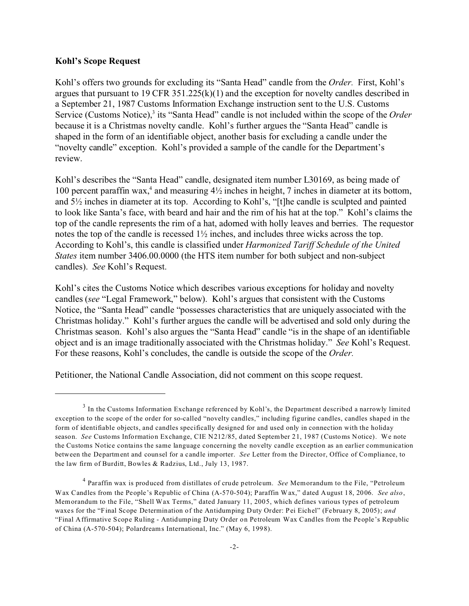#### **Kohl's Scope Request**

Kohl's offers two grounds for excluding its "Santa Head" candle from the *Order.* First, Kohl's argues that pursuant to 19 CFR 351.225(k)(1) and the exception for novelty candles described in a September 21, 1987 Customs Information Exchange instruction sent to the U.S. Customs Service (Customs Notice),<sup>3</sup> its "Santa Head" candle is not included within the scope of the Order because it is a Christmas novelty candle. Kohl's further argues the "Santa Head" candle is shaped in the form of an identifiable object, another basis for excluding a candle under the "novelty candle" exception. Kohl's provided a sample of the candle for the Department's review.

Kohl's describes the "Santa Head" candle, designated item number L30169, as being made of 100 percent paraffin wax,<sup>4</sup> and measuring  $4\frac{1}{2}$  inches in height, 7 inches in diameter at its bottom, and 5½ inches in diameter at its top. According to Kohl's, "[t]he candle is sculpted and painted to look like Santa's face, with beard and hair and the rim of his hat at the top." Kohl's claims the top of the candle represents the rim of a hat, adorned with holly leaves and berries. The requestor notes the top of the candle is recessed 1½ inches, and includes three wicks across the top. According to Kohl's, this candle is classified under *Harmonized Tariff Schedule of the United States* item number 3406.00.0000 (the HTS item number for both subject and non-subject candles). *See* Kohl's Request.

Kohl's cites the Customs Notice which describes various exceptions for holiday and novelty candles (*see* "Legal Framework," below). Kohl's argues that consistent with the Customs Notice, the "Santa Head" candle "possesses characteristics that are uniquely associated with the Christmas holiday." Kohl's further argues the candle will be advertised and sold only during the Christmas season. Kohl's also argues the "Santa Head" candle "is in the shape of an identifiable object and is an image traditionally associated with the Christmas holiday." *See* Kohl's Request. For these reasons, Kohl's concludes, the candle is outside the scope of the *Order.*

Petitioner, the National Candle Association, did not comment on this scope request.

 $3$  In the Customs Information Exchange referenced by Kohl's, the Department described a narrowly limited exception to the scope of the order for so-called "novelty candles," including figurine candles, candles shaped in the form of identifiable objects, and candles specifically designed for and used only in connection with the holiday season. *See* Customs Information Exchange, CIE N212/85, dated September 21, 1987 (Customs Notice). We note the Customs Notice contains the same language concerning the novelty candle exception as an earlier communication between the Department and counsel for a candle importer. *See* Letter from the Director, Office of Compliance, to the law firm of Burditt, Bowles & Radzius, Ltd., July 13, 1987.

<sup>4</sup> Paraffin wax is produced from distillates of crude petroleum. *See* Memorandum to the File, "Petroleum Wax Candles from the People's Republic of China (A-570-504); Paraffin Wax," dated August 18, 2006. *See also*, Memorandum to the File, "Shell Wax Terms," dated January 11, 2005, which defines various types of petroleum waxes for the "Final Scope Determination of the Antidumping Duty Order: Pei Eichel" (February 8, 2005); *and* "Final Affirmative Scope Ruling - Antidumping Duty Order on Petroleum Wax Candles from the People's Republic of China (A-570-504); Polardreams International, Inc." (May 6, 1998).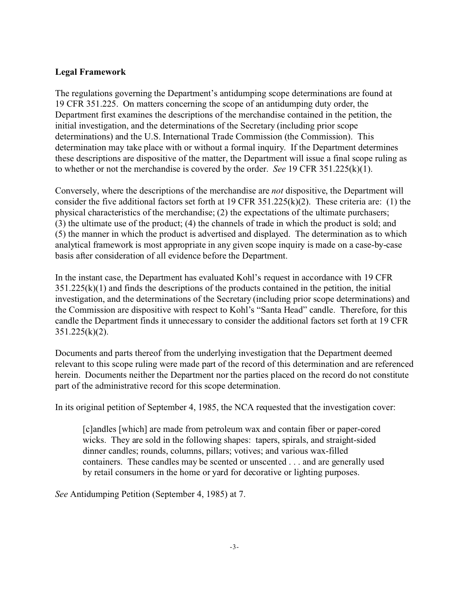## **Legal Framework**

The regulations governing the Department's antidumping scope determinations are found at 19 CFR 351.225. On matters concerning the scope of an antidumping duty order, the Department first examines the descriptions of the merchandise contained in the petition, the initial investigation, and the determinations of the Secretary (including prior scope determinations) and the U.S. International Trade Commission (the Commission). This determination may take place with or without a formal inquiry. If the Department determines these descriptions are dispositive of the matter, the Department will issue a final scope ruling as to whether or not the merchandise is covered by the order. *See* 19 CFR 351.225(k)(1).

Conversely, where the descriptions of the merchandise are *not* dispositive, the Department will consider the five additional factors set forth at 19 CFR 351.225(k)(2). These criteria are: (1) the physical characteristics of the merchandise; (2) the expectations of the ultimate purchasers; (3) the ultimate use of the product; (4) the channels of trade in which the product is sold; and (5) the manner in which the product is advertised and displayed. The determination as to which analytical framework is most appropriate in any given scope inquiry is made on a case-by-case basis after consideration of all evidence before the Department.

In the instant case, the Department has evaluated Kohl's request in accordance with 19 CFR  $351.225(k)(1)$  and finds the descriptions of the products contained in the petition, the initial investigation, and the determinations of the Secretary (including prior scope determinations) and the Commission are dispositive with respect to Kohl's "Santa Head" candle. Therefore, for this candle the Department finds it unnecessary to consider the additional factors set forth at 19 CFR  $351.225(k)(2)$ .

Documents and parts thereof from the underlying investigation that the Department deemed relevant to this scope ruling were made part of the record of this determination and are referenced herein. Documents neither the Department nor the parties placed on the record do not constitute part of the administrative record for this scope determination.

In its original petition of September 4, 1985, the NCA requested that the investigation cover:

[c]andles [which] are made from petroleum wax and contain fiber or paper-cored wicks. They are sold in the following shapes: tapers, spirals, and straight-sided dinner candles; rounds, columns, pillars; votives; and various wax-filled containers. These candles may be scented or unscented . . . and are generally used by retail consumers in the home or yard for decorative or lighting purposes.

*See* Antidumping Petition (September 4, 1985) at 7.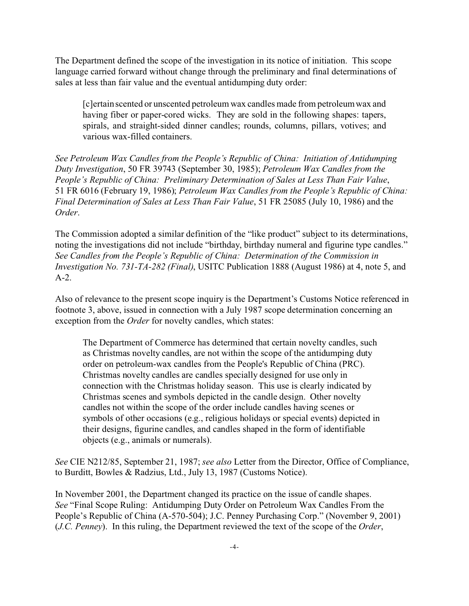The Department defined the scope of the investigation in its notice of initiation. This scope language carried forward without change through the preliminary and final determinations of sales at less than fair value and the eventual antidumping duty order:

[c]ertain scented or unscented petroleum wax candles made from petroleum wax and having fiber or paper-cored wicks. They are sold in the following shapes: tapers, spirals, and straight-sided dinner candles; rounds, columns, pillars, votives; and various wax-filled containers.

*See Petroleum Wax Candles from the People's Republic of China: Initiation of Antidumping Duty Investigation*, 50 FR 39743 (September 30, 1985); *Petroleum Wax Candles from the People's Republic of China: Preliminary Determination of Sales at Less Than Fair Value*, 51 FR 6016 (February 19, 1986); *Petroleum Wax Candles from the People's Republic of China: Final Determination of Sales at Less Than Fair Value*, 51 FR 25085 (July 10, 1986) and the *Order*.

The Commission adopted a similar definition of the "like product" subject to its determinations, noting the investigations did not include "birthday, birthday numeral and figurine type candles." *See Candles from the People's Republic of China: Determination of the Commission in Investigation No. 731-TA-282 (Final)*, USITC Publication 1888 (August 1986) at 4, note 5, and A-2.

Also of relevance to the present scope inquiry is the Department's Customs Notice referenced in footnote 3, above, issued in connection with a July 1987 scope determination concerning an exception from the *Order* for novelty candles, which states:

The Department of Commerce has determined that certain novelty candles, such as Christmas novelty candles, are not within the scope of the antidumping duty order on petroleum-wax candles from the People's Republic of China (PRC). Christmas novelty candles are candles specially designed for use only in connection with the Christmas holiday season. This use is clearly indicated by Christmas scenes and symbols depicted in the candle design. Other novelty candles not within the scope of the order include candles having scenes or symbols of other occasions (e.g., religious holidays or special events) depicted in their designs, figurine candles, and candles shaped in the form of identifiable objects (e.g., animals or numerals).

*See* CIE N212/85, September 21, 1987; *see also* Letter from the Director, Office of Compliance, to Burditt, Bowles & Radzius, Ltd., July 13, 1987 (Customs Notice).

In November 2001, the Department changed its practice on the issue of candle shapes. *See* "Final Scope Ruling: Antidumping Duty Order on Petroleum Wax Candles From the People's Republic of China (A-570-504); J.C. Penney Purchasing Corp." (November 9, 2001) (*J.C. Penney*). In this ruling, the Department reviewed the text of the scope of the *Order*,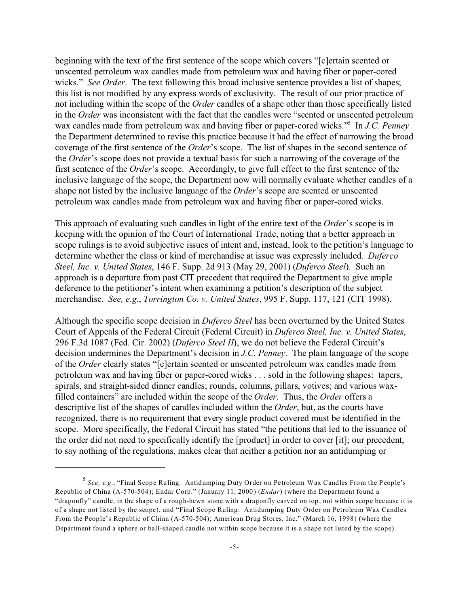beginning with the text of the first sentence of the scope which covers "[c]ertain scented or unscented petroleum wax candles made from petroleum wax and having fiber or paper-cored wicks." *See Order*. The text following this broad inclusive sentence provides a list of shapes; this list is not modified by any express words of exclusivity. The result of our prior practice of not including within the scope of the *Order* candles of a shape other than those specifically listed in the *Order* was inconsistent with the fact that the candles were "scented or unscented petroleum wax candles made from petroleum wax and having fiber or paper-cored wicks."<sup>5</sup> In *J.C. Penney* the Department determined to revise this practice because it had the effect of narrowing the broad coverage of the first sentence of the *Order*'s scope. The list of shapes in the second sentence of the *Order*'s scope does not provide a textual basis for such a narrowing of the coverage of the first sentence of the *Order*'s scope. Accordingly, to give full effect to the first sentence of the inclusive language of the scope, the Department now will normally evaluate whether candles of a shape not listed by the inclusive language of the *Order*'s scope are scented or unscented petroleum wax candles made from petroleum wax and having fiber or paper-cored wicks.

This approach of evaluating such candles in light of the entire text of the *Order*'s scope is in keeping with the opinion of the Court of International Trade, noting that a better approach in scope rulings is to avoid subjective issues of intent and, instead, look to the petition's language to determine whether the class or kind of merchandise at issue was expressly included. *Duferco Steel, Inc. v. United States*, 146 F. Supp. 2d 913 (May 29, 2001) (*Duferco Steel*). Such an approach is a departure from past CIT precedent that required the Department to give ample deference to the petitioner's intent when examining a petition's description of the subject merchandise. *See, e.g.*, *Torrington Co. v. United States*, 995 F. Supp. 117, 121 (CIT 1998).

Although the specific scope decision in *Duferco Steel* has been overturned by the United States Court of Appeals of the Federal Circuit (Federal Circuit) in *Duferco Steel, Inc. v. United States*, 296 F.3d 1087 (Fed. Cir. 2002) (*Duferco Steel II*), we do not believe the Federal Circuit's decision undermines the Department's decision in *J.C. Penney*. The plain language of the scope of the *Order* clearly states "[c]ertain scented or unscented petroleum wax candles made from petroleum wax and having fiber or paper-cored wicks . . . sold in the following shapes: tapers, spirals, and straight-sided dinner candles; rounds, columns, pillars, votives; and various waxfilled containers" are included within the scope of the *Order*. Thus, the *Order* offers a descriptive list of the shapes of candles included within the *Order*, but, as the courts have recognized, there is no requirement that every single product covered must be identified in the scope. More specifically, the Federal Circuit has stated "the petitions that led to the issuance of the order did not need to specifically identify the [product] in order to cover [it]; our precedent, to say nothing of the regulations, makes clear that neither a petition nor an antidumping or

<sup>5</sup> *See, e.g.*, "Final Scope Ruling: Antidumping Duty Order on Petroleum Wax Candles From the People's Republic of China (A-570-504); Endar Corp." (January 11, 2000) (*Endar*) (where the Department found a "dragonfly" candle, in the shape of a rough-hewn stone with a dragonfly carved on top, not within scope because it is of a shape not listed by the scope), and "Final Scope Ruling: Antidumping Duty Order on Petroleum Wax Candles From the People's Republic of China (A-570-504); American Drug Stores, Inc." (March 16, 1998) (where the Department found a sphere or ball-shaped candle not within scope because it is a shape not listed by the scope).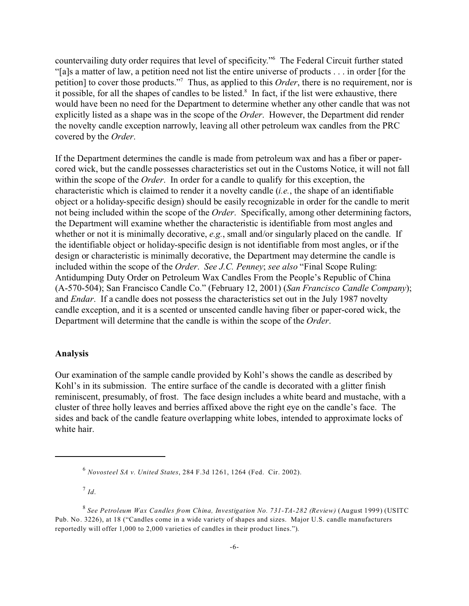countervailing duty order requires that level of specificity."<sup>6</sup> The Federal Circuit further stated "[a]s a matter of law, a petition need not list the entire universe of products . . . in order [for the petition] to cover those products."<sup>7</sup> Thus, as applied to this *Order*, there is no requirement, nor is it possible, for all the shapes of candles to be listed.<sup>8</sup> In fact, if the list were exhaustive, there would have been no need for the Department to determine whether any other candle that was not explicitly listed as a shape was in the scope of the *Order*. However, the Department did render the novelty candle exception narrowly, leaving all other petroleum wax candles from the PRC covered by the *Order*.

If the Department determines the candle is made from petroleum wax and has a fiber or papercored wick, but the candle possesses characteristics set out in the Customs Notice, it will not fall within the scope of the *Order*. In order for a candle to qualify for this exception, the characteristic which is claimed to render it a novelty candle (*i.e.*, the shape of an identifiable object or a holiday-specific design) should be easily recognizable in order for the candle to merit not being included within the scope of the *Order*. Specifically, among other determining factors, the Department will examine whether the characteristic is identifiable from most angles and whether or not it is minimally decorative, *e.g.*, small and/or singularly placed on the candle. If the identifiable object or holiday-specific design is not identifiable from most angles, or if the design or characteristic is minimally decorative, the Department may determine the candle is included within the scope of the *Order*. *See J.C. Penney*; *see also* "Final Scope Ruling: Antidumping Duty Order on Petroleum Wax Candles From the People's Republic of China (A-570-504); San Francisco Candle Co." (February 12, 2001) (*San Francisco Candle Company*); and *Endar*. If a candle does not possess the characteristics set out in the July 1987 novelty candle exception, and it is a scented or unscented candle having fiber or paper-cored wick, the Department will determine that the candle is within the scope of the *Order*.

#### **Analysis**

Our examination of the sample candle provided by Kohl's shows the candle as described by Kohl's in its submission. The entire surface of the candle is decorated with a glitter finish reminiscent, presumably, of frost. The face design includes a white beard and mustache, with a cluster of three holly leaves and berries affixed above the right eye on the candle's face. The sides and back of the candle feature overlapping white lobes, intended to approximate locks of white hair.

6 *Novosteel SA v. United States*, 284 F.3d 1261, 1264 (Fed. Cir. 2002).

7 *Id*.

<sup>8</sup> *See Petroleum Wax Candles from China, Investigation No. 731-TA-282 (Review)* (August 1999) (USITC Pub. No. 3226), at 18 ("Candles come in a wide variety of shapes and sizes. Major U.S. candle manufacturers reportedly will offer 1,000 to 2,000 varieties of candles in their product lines.").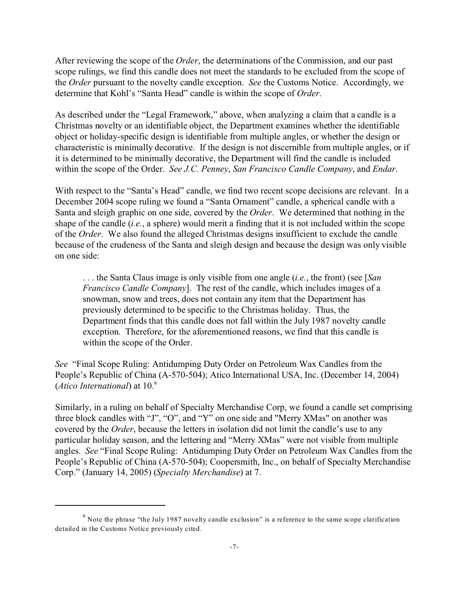After reviewing the scope of the *Order*, the determinations of the Commission, and our past scope rulings, we find this candle does not meet the standards to be excluded from the scope of the *Order* pursuant to the novelty candle exception. *See* the Customs Notice. Accordingly, we determine that Kohl's "Santa Head" candle is within the scope of *Order*.

As described under the "Legal Framework," above, when analyzing a claim that a candle is a Christmas novelty or an identifiable object, the Department examines whether the identifiable object or holiday-specific design is identifiable from multiple angles, or whether the design or characteristic is minimally decorative. If the design is not discernible from multiple angles, or if it is determined to be minimally decorative, the Department will find the candle is included within the scope of the Order. *See J.C. Penney*, *San Francisco Candle Company*, and *Endar*.

With respect to the "Santa's Head" candle, we find two recent scope decisions are relevant. In a December 2004 scope ruling we found a "Santa Ornament" candle, a spherical candle with a Santa and sleigh graphic on one side, covered by the *Order*. We determined that nothing in the shape of the candle (*i.e.*, a sphere) would merit a finding that it is not included within the scope of the *Order*. We also found the alleged Christmas designs insufficient to exclude the candle because of the crudeness of the Santa and sleigh design and because the design was only visible on one side:

. . . the Santa Claus image is only visible from one angle (*i.e.*, the front) (see [*San Francisco Candle Company*]. The rest of the candle, which includes images of a snowman, snow and trees, does not contain any item that the Department has previously determined to be specific to the Christmas holiday. Thus, the Department finds that this candle does not fall within the July 1987 novelty candle exception. Therefore, for the aforementioned reasons, we find that this candle is within the scope of the Order.

*See* "Final Scope Ruling: Antidumping Duty Order on Petroleum Wax Candles from the People's Republic of China (A-570-504); Atico International USA, Inc. (December 14, 2004) (*Atico International*) at 10.<sup>9</sup>

Similarly, in a ruling on behalf of Specialty Merchandise Corp, we found a candle set comprising three block candles with "J", "O", and "Y" on one side and "Merry XMas" on another was covered by the *Order*, because the letters in isolation did not limit the candle's use to any particular holiday season, and the lettering and "Merry XMas" were not visible from multiple angles. *See* "Final Scope Ruling: Antidumping Duty Order on Petroleum Wax Candles from the People's Republic of China (A-570-504); Coopersmith, Inc., on behalf of Specialty Merchandise Corp." (January 14, 2005) (*Specialty Merchandise*) at 7.

 $9$  Note the phrase "the July 1987 novelty candle exclusion" is a reference to the same scope clarification detailed in the Customs Notice previously cited.